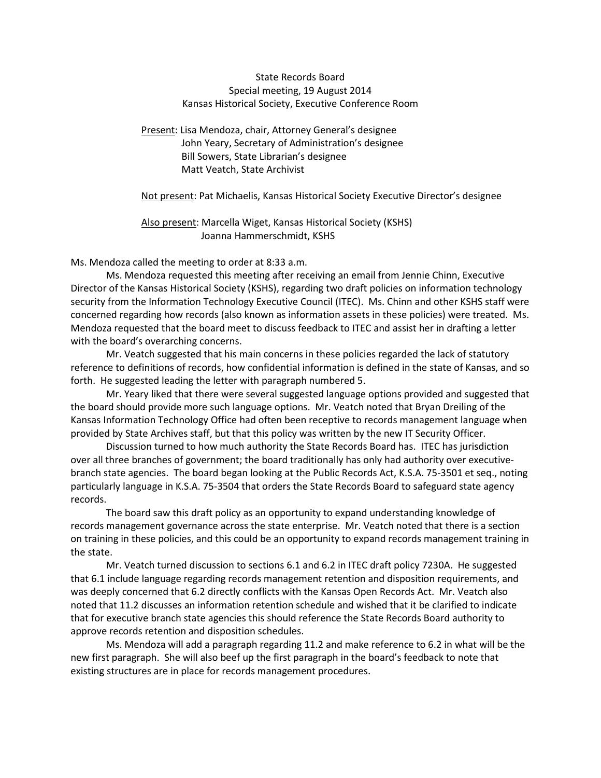## State Records Board Special meeting, 19 August 2014 Kansas Historical Society, Executive Conference Room

Present: Lisa Mendoza, chair, Attorney General's designee John Yeary, Secretary of Administration's designee Bill Sowers, State Librarian's designee Matt Veatch, State Archivist

Not present: Pat Michaelis, Kansas Historical Society Executive Director's designee

Also present: Marcella Wiget, Kansas Historical Society (KSHS) Joanna Hammerschmidt, KSHS

Ms. Mendoza called the meeting to order at 8:33 a.m.

Ms. Mendoza requested this meeting after receiving an email from Jennie Chinn, Executive Director of the Kansas Historical Society (KSHS), regarding two draft policies on information technology security from the Information Technology Executive Council (ITEC). Ms. Chinn and other KSHS staff were concerned regarding how records (also known as information assets in these policies) were treated. Ms. Mendoza requested that the board meet to discuss feedback to ITEC and assist her in drafting a letter with the board's overarching concerns.

Mr. Veatch suggested that his main concerns in these policies regarded the lack of statutory reference to definitions of records, how confidential information is defined in the state of Kansas, and so forth. He suggested leading the letter with paragraph numbered 5.

Mr. Yeary liked that there were several suggested language options provided and suggested that the board should provide more such language options. Mr. Veatch noted that Bryan Dreiling of the Kansas Information Technology Office had often been receptive to records management language when provided by State Archives staff, but that this policy was written by the new IT Security Officer.

Discussion turned to how much authority the State Records Board has. ITEC has jurisdiction over all three branches of government; the board traditionally has only had authority over executivebranch state agencies. The board began looking at the Public Records Act, K.S.A. 75-3501 et seq., noting particularly language in K.S.A. 75-3504 that orders the State Records Board to safeguard state agency records.

The board saw this draft policy as an opportunity to expand understanding knowledge of records management governance across the state enterprise. Mr. Veatch noted that there is a section on training in these policies, and this could be an opportunity to expand records management training in the state.

Mr. Veatch turned discussion to sections 6.1 and 6.2 in ITEC draft policy 7230A. He suggested that 6.1 include language regarding records management retention and disposition requirements, and was deeply concerned that 6.2 directly conflicts with the Kansas Open Records Act. Mr. Veatch also noted that 11.2 discusses an information retention schedule and wished that it be clarified to indicate that for executive branch state agencies this should reference the State Records Board authority to approve records retention and disposition schedules.

Ms. Mendoza will add a paragraph regarding 11.2 and make reference to 6.2 in what will be the new first paragraph. She will also beef up the first paragraph in the board's feedback to note that existing structures are in place for records management procedures.